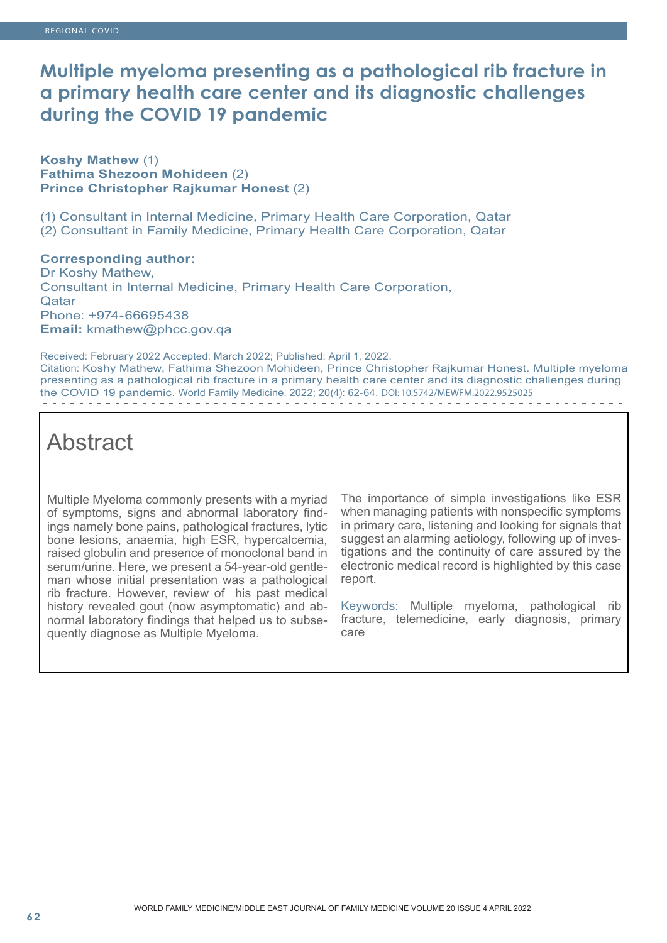## **Multiple myeloma presenting as a pathological rib fracture in a primary health care center and its diagnostic challenges during the COVID 19 pandemic**

#### **Koshy Mathew** (1) **Fathima Shezoon Mohideen** (2) **Prince Christopher Rajkumar Honest** (2)

(1) Consultant in Internal Medicine, Primary Health Care Corporation, Qatar (2) Consultant in Family Medicine, Primary Health Care Corporation, Qatar

#### **Corresponding author:**

Dr Koshy Mathew, Consultant in Internal Medicine, Primary Health Care Corporation, **Qatar** Phone: +974-66695438 **Email:** kmathew@phcc.gov.qa

Received: February 2022 Accepted: March 2022; Published: April 1, 2022. Citation: Koshy Mathew, Fathima Shezoon Mohideen, Prince Christopher Rajkumar Honest. Multiple myeloma presenting as a pathological rib fracture in a primary health care center and its diagnostic challenges during the COVID 19 pandemic. World Family Medicine. 2022; 20(4): 62-64. DOI: 10.5742/MEWFM.2022.9525025

# **Abstract**

Multiple Myeloma commonly presents with a myriad of symptoms, signs and abnormal laboratory findings namely bone pains, pathological fractures, lytic bone lesions, anaemia, high ESR, hypercalcemia, raised globulin and presence of monoclonal band in serum/urine. Here, we present a 54-year-old gentleman whose initial presentation was a pathological rib fracture. However, review of his past medical history revealed gout (now asymptomatic) and abnormal laboratory findings that helped us to subsequently diagnose as Multiple Myeloma.

The importance of simple investigations like ESR when managing patients with nonspecific symptoms in primary care, listening and looking for signals that suggest an alarming aetiology, following up of investigations and the continuity of care assured by the electronic medical record is highlighted by this case report.

Keywords: Multiple myeloma, pathological rib fracture, telemedicine, early diagnosis, primary care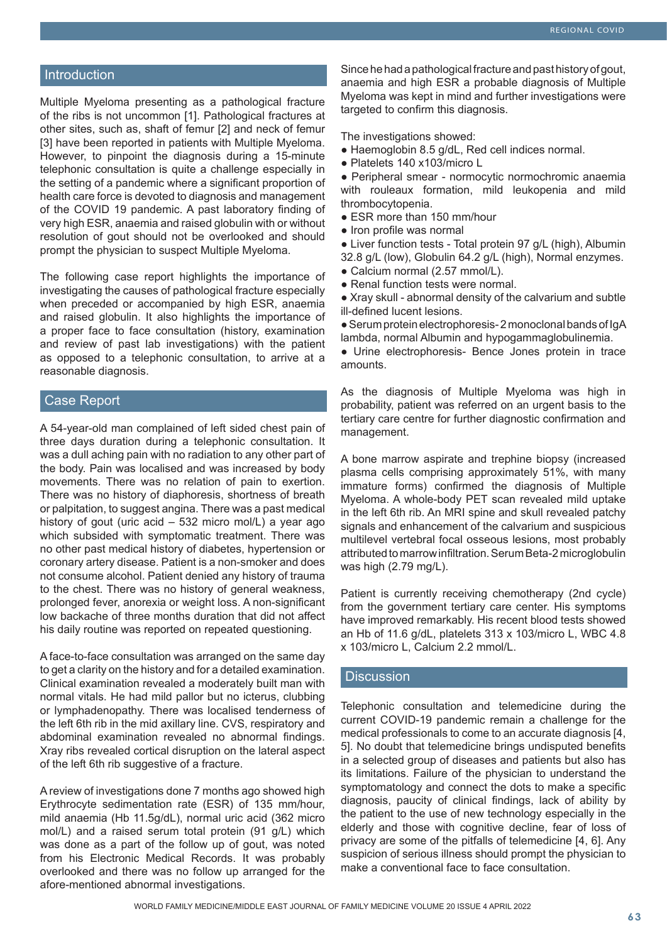#### **Introduction**

Multiple Myeloma presenting as a pathological fracture of the ribs is not uncommon [1]. Pathological fractures at other sites, such as, shaft of femur [2] and neck of femur [3] have been reported in patients with Multiple Myeloma. However, to pinpoint the diagnosis during a 15-minute telephonic consultation is quite a challenge especially in the setting of a pandemic where a significant proportion of health care force is devoted to diagnosis and management of the COVID 19 pandemic. A past laboratory finding of very high ESR, anaemia and raised globulin with or without resolution of gout should not be overlooked and should prompt the physician to suspect Multiple Myeloma.

The following case report highlights the importance of investigating the causes of pathological fracture especially when preceded or accompanied by high ESR, anaemia and raised globulin. It also highlights the importance of a proper face to face consultation (history, examination and review of past lab investigations) with the patient as opposed to a telephonic consultation, to arrive at a reasonable diagnosis.

#### Case Report

A 54-year-old man complained of left sided chest pain of three days duration during a telephonic consultation. It was a dull aching pain with no radiation to any other part of the body. Pain was localised and was increased by body movements. There was no relation of pain to exertion. There was no history of diaphoresis, shortness of breath or palpitation, to suggest angina. There was a past medical history of gout (uric acid – 532 micro mol/L) a year ago which subsided with symptomatic treatment. There was no other past medical history of diabetes, hypertension or coronary artery disease. Patient is a non-smoker and does not consume alcohol. Patient denied any history of trauma to the chest. There was no history of general weakness, prolonged fever, anorexia or weight loss. A non-significant low backache of three months duration that did not affect his daily routine was reported on repeated questioning.

A face-to-face consultation was arranged on the same day to get a clarity on the history and for a detailed examination. Clinical examination revealed a moderately built man with normal vitals. He had mild pallor but no icterus, clubbing or lymphadenopathy. There was localised tenderness of the left 6th rib in the mid axillary line. CVS, respiratory and abdominal examination revealed no abnormal findings. Xray ribs revealed cortical disruption on the lateral aspect of the left 6th rib suggestive of a fracture.

A review of investigations done 7 months ago showed high Erythrocyte sedimentation rate (ESR) of 135 mm/hour, mild anaemia (Hb 11.5g/dL), normal uric acid (362 micro mol/L) and a raised serum total protein (91 g/L) which was done as a part of the follow up of gout, was noted from his Electronic Medical Records. It was probably overlooked and there was no follow up arranged for the afore-mentioned abnormal investigations.

Since he had a pathological fracture and past history of gout, anaemia and high ESR a probable diagnosis of Multiple Myeloma was kept in mind and further investigations were targeted to confirm this diagnosis.

The investigations showed:

- Haemoglobin 8.5 g/dL, Red cell indices normal.
- Platelets 140 x103/micro L

● Peripheral smear - normocytic normochromic anaemia with rouleaux formation, mild leukopenia and mild thrombocytopenia.

- ESR more than 150 mm/hour
- Iron profile was normal

● Liver function tests - Total protein 97 g/L (high), Albumin 32.8 g/L (low), Globulin 64.2 g/L (high), Normal enzymes. • Calcium normal (2.57 mmol/L).

- 
- Renal function tests were normal.

● Xray skull - abnormal density of the calvarium and subtle ill-defined lucent lesions.

● Serum protein electrophoresis- 2 monoclonal bands of IgA lambda, normal Albumin and hypogammaglobulinemia.

● Urine electrophoresis- Bence Jones protein in trace amounts.

As the diagnosis of Multiple Myeloma was high in probability, patient was referred on an urgent basis to the tertiary care centre for further diagnostic confirmation and management.

A bone marrow aspirate and trephine biopsy (increased plasma cells comprising approximately 51%, with many immature forms) confirmed the diagnosis of Multiple Myeloma. A whole-body PET scan revealed mild uptake in the left 6th rib. An MRI spine and skull revealed patchy signals and enhancement of the calvarium and suspicious multilevel vertebral focal osseous lesions, most probably attributed to marrow infiltration. Serum Beta-2 microglobulin was high (2.79 mg/L).

Patient is currently receiving chemotherapy (2nd cycle) from the government tertiary care center. His symptoms have improved remarkably. His recent blood tests showed an Hb of 11.6 g/dL, platelets 313 x 103/micro L, WBC 4.8 x 103/micro L, Calcium 2.2 mmol/L.

#### **Discussion**

Telephonic consultation and telemedicine during the current COVID-19 pandemic remain a challenge for the medical professionals to come to an accurate diagnosis [4, 5]. No doubt that telemedicine brings undisputed benefits in a selected group of diseases and patients but also has its limitations. Failure of the physician to understand the symptomatology and connect the dots to make a specific diagnosis, paucity of clinical findings, lack of ability by the patient to the use of new technology especially in the elderly and those with cognitive decline, fear of loss of privacy are some of the pitfalls of telemedicine [4, 6]. Any suspicion of serious illness should prompt the physician to make a conventional face to face consultation.